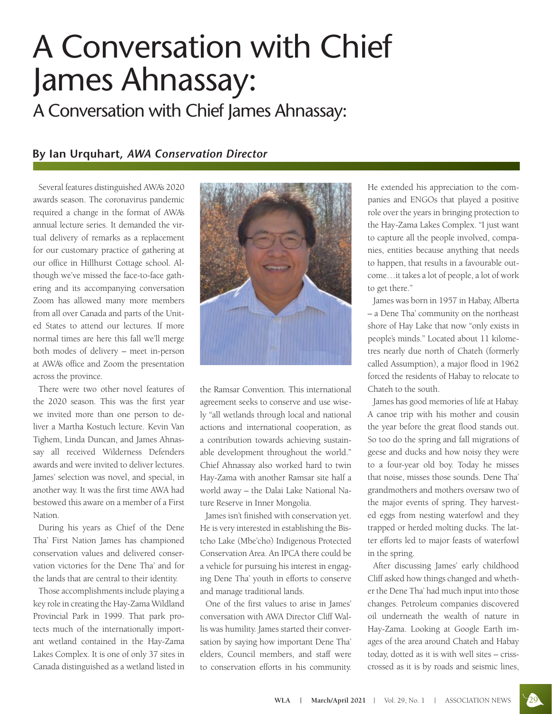## A Conversation with Chief James Ahnassay:

A Conversation with Chief James Ahnassay:

## **By Ian Urquhart,** *AWA Conservation Director*

Several features distinguished AWA's 2020 awards season. The coronavirus pandemic required a change in the format of AWA's annual lecture series. It demanded the virtual delivery of remarks as a replacement for our customary practice of gathering at our office in Hillhurst Cottage school. Although we've missed the face-to-face gathering and its accompanying conversation Zoom has allowed many more members from all over Canada and parts of the United States to attend our lectures. If more normal times are here this fall we'll merge both modes of delivery – meet in-person at AWA's office and Zoom the presentation across the province.

There were two other novel features of the 2020 season. This was the first year we invited more than one person to deliver a Martha Kostuch lecture. Kevin Van Tighem, Linda Duncan, and James Ahnassay all received Wilderness Defenders awards and were invited to deliver lectures. James' selection was novel, and special, in another way. It was the first time AWA had bestowed this aware on a member of a First Nation.

During his years as Chief of the Dene Tha' First Nation James has championed conservation values and delivered conservation victories for the Dene Tha' and for the lands that are central to their identity.

Those accomplishments include playing a key role in creating the Hay-Zama Wildland Provincial Park in 1999. That park protects much of the internationally important wetland contained in the Hay-Zama Lakes Complex. It is one of only 37 sites in Canada distinguished as a wetland listed in



the Ramsar Convention. This international agreement seeks to conserve and use wisely "all wetlands through local and national actions and international cooperation, as a contribution towards achieving sustainable development throughout the world." Chief Ahnassay also worked hard to twin Hay-Zama with another Ramsar site half a world away – the Dalai Lake National Nature Reserve in Inner Mongolia.

James isn't finished with conservation yet. He is very interested in establishing the Bistcho Lake (Mbe'cho) Indigenous Protected Conservation Area. An IPCA there could be a vehicle for pursuing his interest in engaging Dene Tha' youth in efforts to conserve and manage traditional lands.

One of the first values to arise in James' conversation with AWA Director Cliff Wallis was humility. James started their conversation by saying how important Dene Tha' elders, Council members, and staff were to conservation efforts in his community.

He extended his appreciation to the companies and ENGOs that played a positive role over the years in bringing protection to the Hay-Zama Lakes Complex. "I just want to capture all the people involved, companies, entities because anything that needs to happen, that results in a favourable outcome…it takes a lot of people, a lot of work to get there."

James was born in 1957 in Habay, Alberta – a Dene Tha' community on the northeast shore of Hay Lake that now "only exists in people's minds." Located about 11 kilometres nearly due north of Chateh (formerly called Assumption), a major flood in 1962 forced the residents of Habay to relocate to Chateh to the south.

James has good memories of life at Habay. A canoe trip with his mother and cousin the year before the great flood stands out. So too do the spring and fall migrations of geese and ducks and how noisy they were to a four-year old boy. Today he misses that noise, misses those sounds. Dene Tha' grandmothers and mothers oversaw two of the major events of spring. They harvested eggs from nesting waterfowl and they trapped or herded molting ducks. The latter efforts led to major feasts of waterfowl in the spring.

After discussing James' early childhood Cliff asked how things changed and whether the Dene Tha' had much input into those changes. Petroleum companies discovered oil underneath the wealth of nature in Hay-Zama. Looking at Google Earth images of the area around Chateh and Habay today, dotted as it is with well sites – crisscrossed as it is by roads and seismic lines,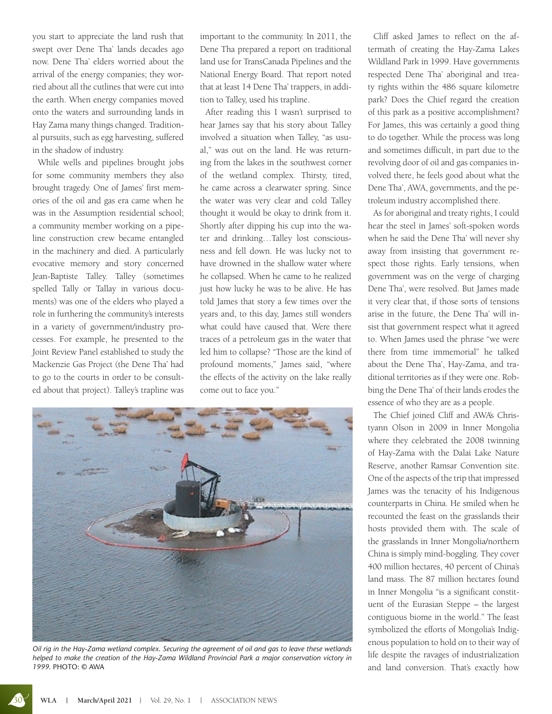you start to appreciate the land rush that swept over Dene Tha' lands decades ago now. Dene Tha' elders worried about the arrival of the energy companies; they worried about all the cutlines that were cut into the earth. When energy companies moved onto the waters and surrounding lands in Hay Zama many things changed. Traditional pursuits, such as egg harvesting, suffered in the shadow of industry.

While wells and pipelines brought jobs for some community members they also brought tragedy. One of James' first memories of the oil and gas era came when he was in the Assumption residential school; a community member working on a pipeline construction crew became entangled in the machinery and died. A particularly evocative memory and story concerned Jean-Baptiste Talley. Talley (sometimes spelled Tally or Tallay in various documents) was one of the elders who played a role in furthering the community's interests in a variety of government/industry processes. For example, he presented to the Joint Review Panel established to study the Mackenzie Gas Project (the Dene Tha' had to go to the courts in order to be consulted about that project). Talley's trapline was important to the community. In 2011, the Dene Tha prepared a report on traditional land use for TransCanada Pipelines and the National Energy Board. That report noted that at least 14 Dene Tha' trappers, in addition to Talley, used his trapline.

After reading this I wasn't surprised to hear James say that his story about Talley involved a situation when Talley, "as usual," was out on the land. He was returning from the lakes in the southwest corner of the wetland complex. Thirsty, tired, he came across a clearwater spring. Since the water was very clear and cold Talley thought it would be okay to drink from it. Shortly after dipping his cup into the water and drinking…Talley lost consciousness and fell down. He was lucky not to have drowned in the shallow water where he collapsed. When he came to he realized just how lucky he was to be alive. He has told James that story a few times over the years and, to this day, James still wonders what could have caused that. Were there traces of a petroleum gas in the water that led him to collapse? "Those are the kind of profound moments," James said, "where the effects of the activity on the lake really come out to face you."



*Oil rig in the Hay-Zama wetland complex. Securing the agreement of oil and gas to leave these wetlands helped to make the creation of the Hay-Zama Wildland Provincial Park a major conservation victory in 1999.* PHOTO: © AWA

Cliff asked James to reflect on the aftermath of creating the Hay-Zama Lakes Wildland Park in 1999. Have governments respected Dene Tha' aboriginal and treaty rights within the 486 square kilometre park? Does the Chief regard the creation of this park as a positive accomplishment? For James, this was certainly a good thing to do together. While the process was long and sometimes difficult, in part due to the revolving door of oil and gas companies involved there, he feels good about what the Dene Tha', AWA, governments, and the petroleum industry accomplished there.

As for aboriginal and treaty rights, I could hear the steel in James' soft-spoken words when he said the Dene Tha' will never shy away from insisting that government respect those rights. Early tensions, when government was on the verge of charging Dene Tha', were resolved. But James made it very clear that, if those sorts of tensions arise in the future, the Dene Tha' will insist that government respect what it agreed to. When James used the phrase "we were there from time immemorial" he talked about the Dene Tha', Hay-Zama, and traditional territories as if they were one. Robbing the Dene Tha' of their lands erodes the essence of who they are as a people.

The Chief joined Cliff and AWA's Christyann Olson in 2009 in Inner Mongolia where they celebrated the 2008 twinning of Hay-Zama with the Dalai Lake Nature Reserve, another Ramsar Convention site. One of the aspects of the trip that impressed James was the tenacity of his Indigenous counterparts in China. He smiled when he recounted the feast on the grasslands their hosts provided them with. The scale of the grasslands in Inner Mongolia/northern China is simply mind-boggling. They cover 400 million hectares, 40 percent of China's land mass. The 87 million hectares found in Inner Mongolia "is a significant constituent of the Eurasian Steppe – the largest contiguous biome in the world." The feast symbolized the efforts of Mongolia's Indigenous population to hold on to their way of life despite the ravages of industrialization and land conversion. That's exactly how